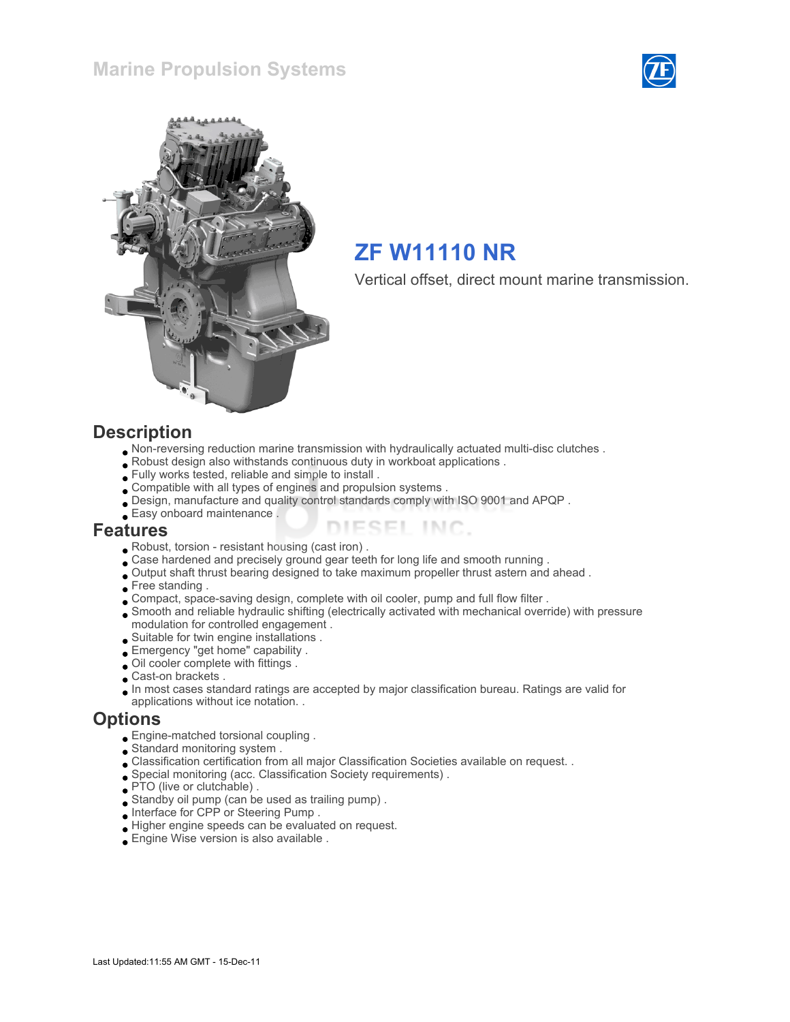



# ZF W11110 NR

Vertical offset, direct mount marine transmission.

#### **Description**

- Non-reversing reduction marine transmission with hydraulically actuated multi-disc clutches .
- Robust design also withstands continuous duty in workboat applications .
- Fully works tested, reliable and simple to install .
- Compatible with all types of engines and propulsion systems .
- Design, manufacture and quality control standards comply with ISO 9001 and APQP .
- Easy onboard maintenance .

#### Features

- Robust, torsion resistant housing (cast iron) .
- Case hardened and precisely ground gear teeth for long life and smooth running .
- Output shaft thrust bearing designed to take maximum propeller thrust astern and ahead .
- Free standing .
- Compact, space-saving design, complete with oil cooler, pump and full flow filter .
- Smooth and reliable hydraulic shifting (electrically activated with mechanical override) with pressure modulation for controlled engagement .

ESEL INC.

- Suitable for twin engine installations .
- Emergency "get home" capability .
- Oil cooler complete with fittings .
- Cast-on brackets .
- In most cases standard ratings are accepted by major classification bureau. Ratings are valid for
- applications without ice notation. .

#### **Options**

- Engine-matched torsional coupling .
- Standard monitoring system .
- Classification certification from all major Classification Societies available on request. .
- Special monitoring (acc. Classification Society requirements) .
- PTO (live or clutchable).
- Standby oil pump (can be used as trailing pump) .
- Interface for CPP or Steering Pump .
- Higher engine speeds can be evaluated on request.
- Engine Wise version is also available .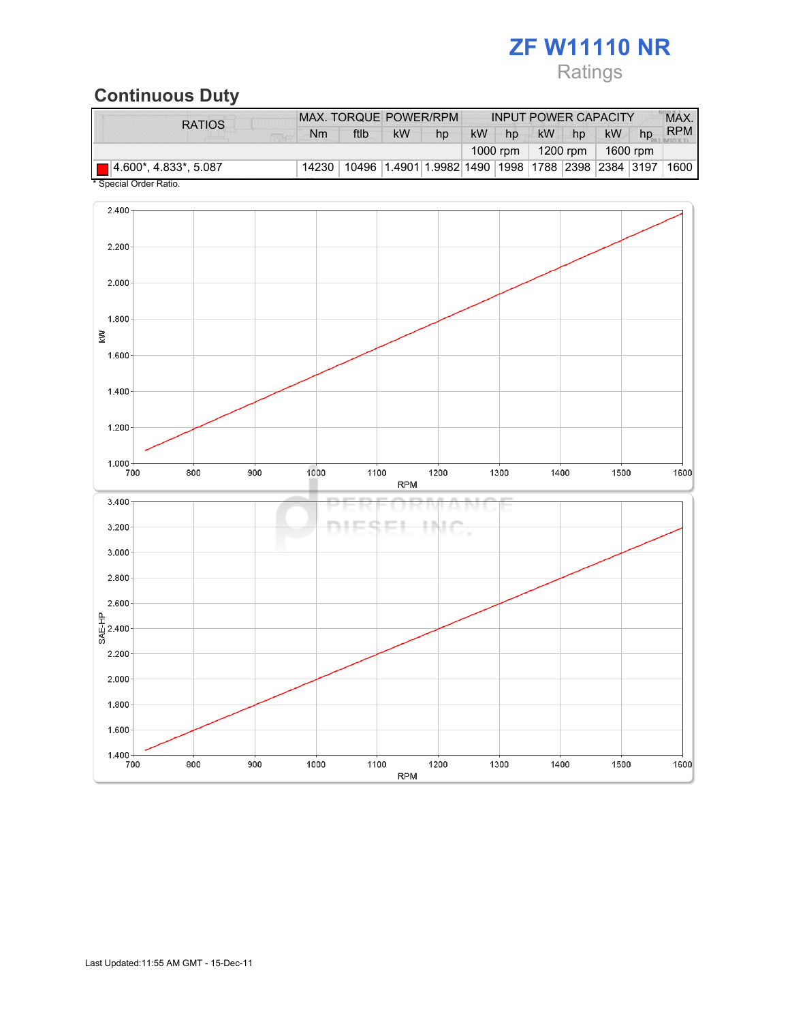# ZF W11110 NR

# Ratings

# Continuous Duty

| <b>RATIOS</b>                         |          |    |                                                                   |           | <b>INPUT POWER CAPACITY</b> |           |    |           |    | MAX.       |
|---------------------------------------|----------|----|-------------------------------------------------------------------|-----------|-----------------------------|-----------|----|-----------|----|------------|
| Nm                                    | ftlb     | kW | hp                                                                | <b>kW</b> | hp                          | <b>kW</b> | hp | <b>kW</b> | hp | <b>RPM</b> |
|                                       | 1000 rpm |    | 1200 rpm                                                          |           | 1600 rpm                    |           |    |           |    |            |
| $\Box$ 4.600*, 4.833*, 5.087<br>14230 |          |    | 10496   1.4901   1.9982   1490   1998   1788   2398   2384   3197 |           |                             |           |    |           |    | 1600       |

Special Order Ratio.

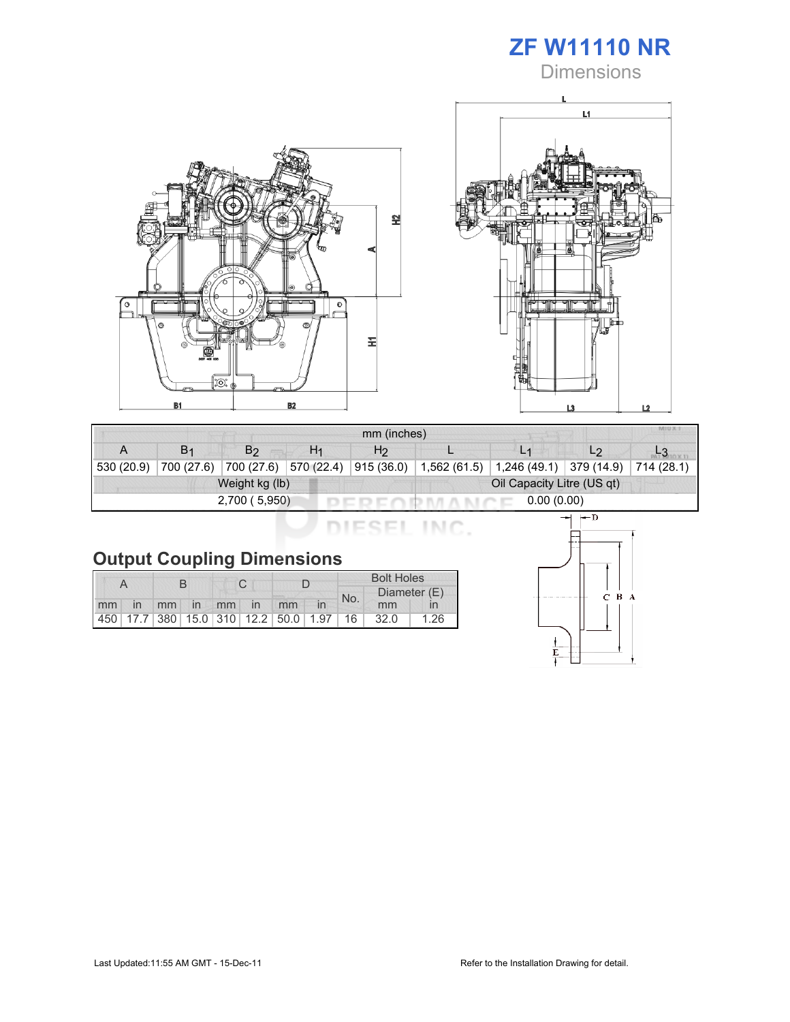

**Dimensions** 





| mm (inches) |                |                       |                |                            |              |                |            |            |  |
|-------------|----------------|-----------------------|----------------|----------------------------|--------------|----------------|------------|------------|--|
| A           | B <sub>1</sub> | B <sub>2</sub>        | H <sub>1</sub> | H <sub>2</sub>             |              | L <sub>1</sub> | L2         |            |  |
| 530 (20.9)  | 700 (27.6)     | 700 (27.6) 570 (22.4) |                | 915 (36.0)                 | 1,562 (61.5) | 1,246 (49.1)   | 379 (14.9) | 714 (28.1) |  |
|             |                | Weight kg (lb)        |                | Oil Capacity Litre (US qt) |              |                |            |            |  |
|             |                | 2,700(5,950)          |                | 0.00(0.00)                 |              |                |            |            |  |

DIESEL INC.

|    |    |  |  |             | <b>Bolt Holes</b>                       |     |              |      |
|----|----|--|--|-------------|-----------------------------------------|-----|--------------|------|
|    |    |  |  |             |                                         | No. | Diameter (E) |      |
| mm | in |  |  | mm in mm in | mm                                      |     | mm           |      |
|    |    |  |  |             | 450 17.7 380 15.0 310 12.2 50.0 1.97 16 |     | 32.0         | 1.26 |